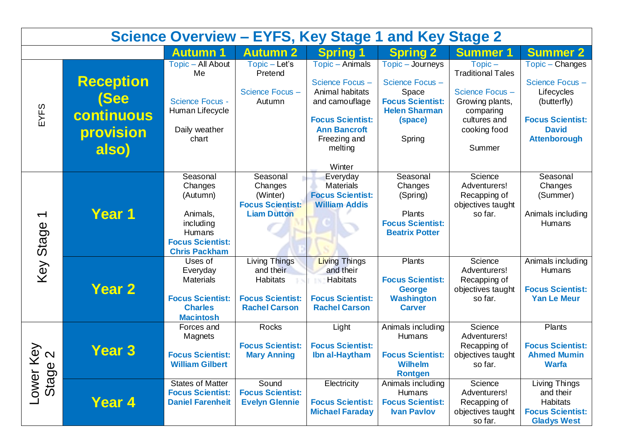|                                                 | Science Overview - EYFS, Key Stage 1 and Key Stage 2                |                                                                                                                       |                                                                                                  |                                                                                                                                                                |                                                                                                                      |                                                                                                                                    |                                                                                                                                   |  |  |  |  |
|-------------------------------------------------|---------------------------------------------------------------------|-----------------------------------------------------------------------------------------------------------------------|--------------------------------------------------------------------------------------------------|----------------------------------------------------------------------------------------------------------------------------------------------------------------|----------------------------------------------------------------------------------------------------------------------|------------------------------------------------------------------------------------------------------------------------------------|-----------------------------------------------------------------------------------------------------------------------------------|--|--|--|--|
|                                                 |                                                                     | <b>Autumn 1</b>                                                                                                       | <b>Autumn 2</b>                                                                                  | <b>Spring 1</b>                                                                                                                                                | <b>Spring 2</b>                                                                                                      | <b>Summer 1</b>                                                                                                                    | <b>Summer 2</b>                                                                                                                   |  |  |  |  |
| EYFS                                            | <b>Reception</b><br>(See<br><b>continuous</b><br>provision<br>also) | Topic - All About<br>Me<br>Science Focus -<br>Human Lifecycle<br>Daily weather<br>chart                               | Topic - Let's<br>Pretend<br>Science Focus -<br>Autumn                                            | Topic - Animals<br>Science Focus -<br>Animal habitats<br>and camouflage<br><b>Focus Scientist:</b><br><b>Ann Bancroft</b><br>Freezing and<br>melting<br>Winter | Topic - Journeys<br>Science Focus -<br>Space<br><b>Focus Scientist:</b><br><b>Helen Sharman</b><br>(space)<br>Spring | $Topic -$<br><b>Traditional Tales</b><br>Science Focus -<br>Growing plants,<br>comparing<br>cultures and<br>cooking food<br>Summer | Topic - Changes<br>Science Focus -<br>Lifecycles<br>(butterfly)<br><b>Focus Scientist:</b><br><b>David</b><br><b>Attenborough</b> |  |  |  |  |
| $\blacktriangledown$<br>Stage                   | Year 1                                                              | Seasonal<br>Changes<br>(Autumn)<br>Animals,<br>including<br>Humans<br><b>Focus Scientist:</b><br><b>Chris Packham</b> | Seasonal<br>Changes<br>(Winter)<br><b>Focus Scientist:</b><br><b>Liam Dutton</b>                 | Everyday<br><b>Materials</b><br><b>Focus Scientist:</b><br><b>William Addis</b>                                                                                | Seasonal<br>Changes<br>(Spring)<br>Plants<br><b>Focus Scientist:</b><br><b>Beatrix Potter</b>                        | Science<br>Adventurers!<br>Recapping of<br>objectives taught<br>so far.                                                            | Seasonal<br>Changes<br>(Summer)<br>Animals including<br>Humans                                                                    |  |  |  |  |
| Key                                             | <b>Year 2</b>                                                       | Uses of<br>Everyday<br><b>Materials</b><br><b>Focus Scientist:</b><br><b>Charles</b><br><b>Macintosh</b>              | Living Things<br>and their<br><b>Habitats</b><br><b>Focus Scientist:</b><br><b>Rachel Carson</b> | <b>Living Things</b><br>and their<br><b>Habitats</b><br><b>Focus Scientist:</b><br><b>Rachel Carson</b>                                                        | Plants<br><b>Focus Scientist:</b><br><b>George</b><br><b>Washington</b><br><b>Carver</b>                             | Science<br>Adventurers!<br>Recapping of<br>objectives taught<br>so far.                                                            | Animals including<br><b>Humans</b><br><b>Focus Scientist:</b><br><b>Yan Le Meur</b>                                               |  |  |  |  |
| $\frac{1}{2}$<br>$\boldsymbol{\times}$<br>Stage | <b>Year 3</b>                                                       | Forces and<br>Magnets<br><b>Focus Scientist:</b><br><b>William Gilbert</b>                                            | <b>Rocks</b><br><b>Focus Scientist:</b><br><b>Mary Anning</b>                                    | Light<br><b>Focus Scientist:</b><br>Ibn al-Haytham                                                                                                             | Animals including<br>Humans<br><b>Focus Scientist:</b><br><b>Wilhelm</b><br><b>Rontgen</b>                           | Science<br>Adventurers!<br>Recapping of<br>objectives taught<br>so far.                                                            | Plants<br><b>Focus Scientist:</b><br><b>Ahmed Mumin</b><br><b>Warfa</b>                                                           |  |  |  |  |
| Lower                                           | <b>Year 4</b>                                                       | <b>States of Matter</b><br><b>Focus Scientist:</b><br><b>Daniel Farenheit</b>                                         | Sound<br><b>Focus Scientist:</b><br><b>Evelyn Glennie</b>                                        | Electricity<br><b>Focus Scientist:</b><br><b>Michael Faraday</b>                                                                                               | Animals including<br>Humans<br><b>Focus Scientist:</b><br><b>Ivan Pavlov</b>                                         | Science<br>Adventurers!<br>Recapping of<br>objectives taught<br>so far.                                                            | Living Things<br>and their<br>Habitats<br><b>Focus Scientist:</b><br><b>Gladys West</b>                                           |  |  |  |  |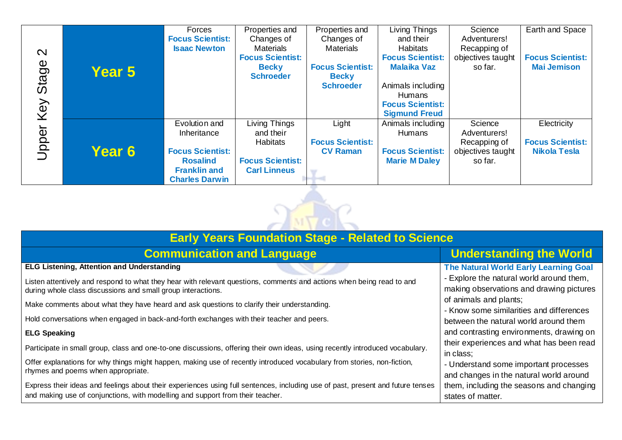|                   |               | Forces                  | Properties and          | Properties and          | Living Things           | Science           | Earth and Space         |
|-------------------|---------------|-------------------------|-------------------------|-------------------------|-------------------------|-------------------|-------------------------|
|                   |               | <b>Focus Scientist:</b> | Changes of              | Changes of              | and their               | Adventurers!      |                         |
| $\mathbf{\Omega}$ |               | <b>Isaac Newton</b>     | <b>Materials</b>        | Materials               | <b>Habitats</b>         | Recapping of      |                         |
|                   |               |                         | <b>Focus Scientist:</b> |                         | <b>Focus Scientist:</b> | objectives taught | <b>Focus Scientist:</b> |
|                   | <b>Year 5</b> |                         | <b>Becky</b>            | <b>Focus Scientist:</b> | <b>Malaika Vaz</b>      | so far.           | <b>Mai Jemison</b>      |
|                   |               |                         | <b>Schroeder</b>        | <b>Becky</b>            |                         |                   |                         |
| Stage             |               |                         |                         | <b>Schroeder</b>        | Animals including       |                   |                         |
|                   |               |                         |                         |                         | Humans                  |                   |                         |
|                   |               |                         |                         |                         | <b>Focus Scientist:</b> |                   |                         |
| Key               |               |                         |                         |                         | <b>Sigmund Freud</b>    |                   |                         |
|                   |               | Evolution and           | Living Things           | Light                   | Animals including       | Science           | Electricity             |
| Upper             |               | Inheritance             | and their               |                         | <b>Humans</b>           | Adventurers!      |                         |
|                   |               |                         | <b>Habitats</b>         | <b>Focus Scientist:</b> |                         | Recapping of      | <b>Focus Scientist:</b> |
|                   | <b>Year 6</b> | <b>Focus Scientist:</b> |                         | <b>CV Raman</b>         | <b>Focus Scientist:</b> | objectives taught | <b>Nikola Tesla</b>     |
|                   |               | <b>Rosalind</b>         | <b>Focus Scientist:</b> |                         | <b>Marie M Daley</b>    | so far.           |                         |
|                   |               | <b>Franklin and</b>     | <b>Carl Linneus</b>     |                         |                         |                   |                         |
|                   |               | <b>Charles Darwin</b>   |                         |                         |                         |                   |                         |

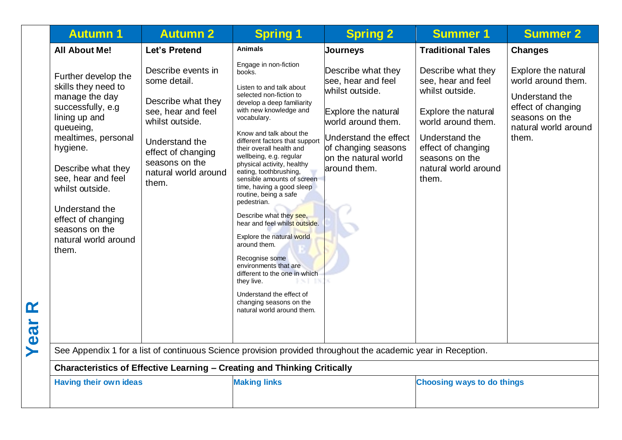|                  | <b>Autumn1</b>                                                                                                                                                                                                                                                                                               | <b>Autumn 2</b>                                                                                                                                                                              | <b>Spring 1</b>                                                                                                                                                                                                                                                                                                                                                                                                                                                                                                                                                                                                                                                                                                                      | <b>Spring 2</b>                                                                                                                                                                                   | <b>Summer 1</b><br><b>Summer 2</b>                                                                                                                                                                  |                                                                                                                                      |  |  |  |
|------------------|--------------------------------------------------------------------------------------------------------------------------------------------------------------------------------------------------------------------------------------------------------------------------------------------------------------|----------------------------------------------------------------------------------------------------------------------------------------------------------------------------------------------|--------------------------------------------------------------------------------------------------------------------------------------------------------------------------------------------------------------------------------------------------------------------------------------------------------------------------------------------------------------------------------------------------------------------------------------------------------------------------------------------------------------------------------------------------------------------------------------------------------------------------------------------------------------------------------------------------------------------------------------|---------------------------------------------------------------------------------------------------------------------------------------------------------------------------------------------------|-----------------------------------------------------------------------------------------------------------------------------------------------------------------------------------------------------|--------------------------------------------------------------------------------------------------------------------------------------|--|--|--|
|                  | <b>All About Me!</b>                                                                                                                                                                                                                                                                                         | <b>Let's Pretend</b>                                                                                                                                                                         | <b>Animals</b>                                                                                                                                                                                                                                                                                                                                                                                                                                                                                                                                                                                                                                                                                                                       | <b>Journeys</b>                                                                                                                                                                                   | <b>Traditional Tales</b>                                                                                                                                                                            | <b>Changes</b>                                                                                                                       |  |  |  |
| $\alpha$<br>Year | Further develop the<br>skills they need to<br>manage the day<br>successfully, e.g<br>lining up and<br>queueing,<br>mealtimes, personal<br>hygiene.<br>Describe what they<br>see, hear and feel<br>whilst outside.<br>Understand the<br>effect of changing<br>seasons on the<br>natural world around<br>them. | Describe events in<br>some detail.<br>Describe what they<br>see, hear and feel<br>whilst outside.<br>Understand the<br>effect of changing<br>seasons on the<br>natural world around<br>them. | Engage in non-fiction<br>books.<br>Listen to and talk about<br>selected non-fiction to<br>develop a deep familiarity<br>with new knowledge and<br>vocabulary.<br>Know and talk about the<br>different factors that support<br>their overall health and<br>wellbeing, e.g. regular<br>physical activity, healthy<br>eating, toothbrushing,<br>sensible amounts of screen<br>time, having a good sleep<br>routine, being a safe<br>pedestrian.<br>Describe what they see,<br>hear and feel whilst outside.<br>Explore the natural world<br>around them.<br>Recognise some<br>environments that are<br>different to the one in which<br>they live.<br>Understand the effect of<br>changing seasons on the<br>natural world around them. | Describe what they<br>see, hear and feel<br>whilst outside.<br>Explore the natural<br>world around them.<br>Understand the effect<br>of changing seasons<br>on the natural world<br>laround them. | Describe what they<br>see, hear and feel<br>whilst outside.<br>Explore the natural<br>world around them.<br>Understand the<br>effect of changing<br>seasons on the<br>natural world around<br>them. | Explore the natural<br>world around them.<br>Understand the<br>effect of changing<br>seasons on the<br>natural world around<br>them. |  |  |  |
|                  | See Appendix 1 for a list of continuous Science provision provided throughout the academic year in Reception.                                                                                                                                                                                                |                                                                                                                                                                                              |                                                                                                                                                                                                                                                                                                                                                                                                                                                                                                                                                                                                                                                                                                                                      |                                                                                                                                                                                                   |                                                                                                                                                                                                     |                                                                                                                                      |  |  |  |
|                  |                                                                                                                                                                                                                                                                                                              | Characteristics of Effective Learning - Creating and Thinking Critically                                                                                                                     |                                                                                                                                                                                                                                                                                                                                                                                                                                                                                                                                                                                                                                                                                                                                      |                                                                                                                                                                                                   |                                                                                                                                                                                                     |                                                                                                                                      |  |  |  |
|                  | <b>Having their own ideas</b>                                                                                                                                                                                                                                                                                |                                                                                                                                                                                              | <b>Making links</b>                                                                                                                                                                                                                                                                                                                                                                                                                                                                                                                                                                                                                                                                                                                  |                                                                                                                                                                                                   | <b>Choosing ways to do things</b>                                                                                                                                                                   |                                                                                                                                      |  |  |  |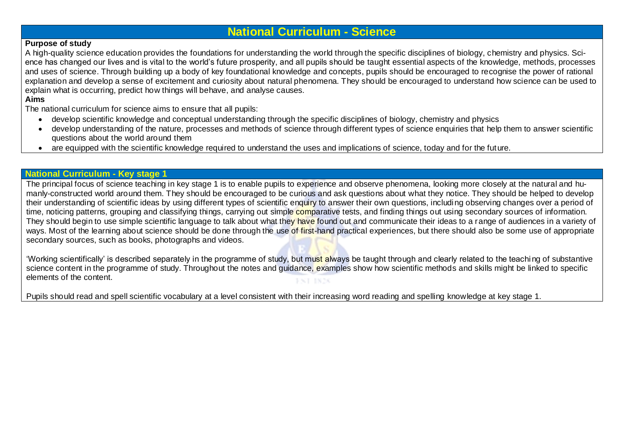### **National Curriculum - Science**

### **Purpose of study**

A high-quality science education provides the foundations for understanding the world through the specific disciplines of biology, chemistry and physics. Science has changed our lives and is vital to the world's future prosperity, and all pupils should be taught essential aspects of the knowledge, methods, processes and uses of science. Through building up a body of key foundational knowledge and concepts, pupils should be encouraged to recognise the power of rational explanation and develop a sense of excitement and curiosity about natural phenomena. They should be encouraged to understand how science can be used to explain what is occurring, predict how things will behave, and analyse causes.

### **Aims**

The national curriculum for science aims to ensure that all pupils:

- develop scientific knowledge and conceptual understanding through the specific disciplines of biology, chemistry and physics
- develop understanding of the nature, processes and methods of science through different types of science enquiries that help them to answer scientific questions about the world around them
- are equipped with the scientific knowledge required to understand the uses and implications of science, today and for the future.

### **National Curriculum - Key stage 1**

The principal focus of science teaching in key stage 1 is to enable pupils to experience and observe phenomena, looking more closely at the natural and humanly-constructed world around them. They should be encouraged to be curious and ask questions about what they notice. They should be helped to develop their understanding of scientific ideas by using different types of scientific enquiry to answer their own questions, including observing changes over a period of time, noticing patterns, grouping and classifying things, carrying out simple comparative tests, and finding things out using secondary sources of information. They should begin to use simple scientific language to talk about what they have found out and communicate their ideas to a range of audiences in a variety of ways. Most of the learning about science should be done through the use of first-hand practical experiences, but there should also be some use of appropriate secondary sources, such as books, photographs and videos.

'Working scientifically' is described separately in the programme of study, but must always be taught through and clearly related to the teaching of substantive science content in the programme of study. Throughout the notes and guidance, examples show how scientific methods and skills might be linked to specific elements of the content. FST 1826

Pupils should read and spell scientific vocabulary at a level consistent with their increasing word reading and spelling knowledge at key stage 1.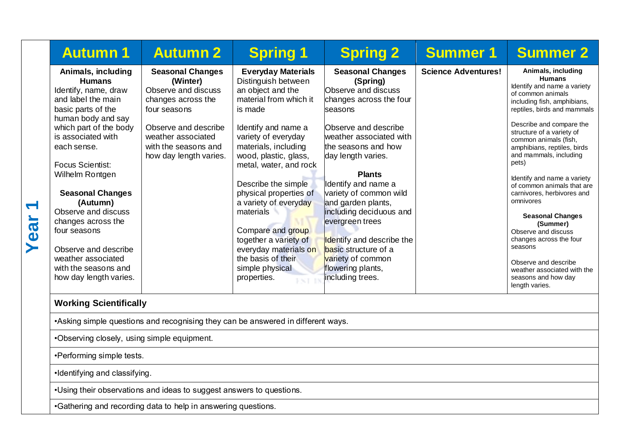|      | <b>Autumn1</b>                                                                                                                                                                                                                                                                                                                                                                                                                                 | <b>Autumn 2</b>                                                                                                                                                                                  | <b>Spring 1</b>                                                                                                                                                                                                                                                                                                                                                                                                                                           | <b>Spring 2</b>                                                                                                                                                                                                                                                                                                                                                                                                                                           | <b>Summer 1</b>            | <b>Summer 2</b>                                                                                                                                                                                                                                                                                                                                                                                                                                                                                                                                                                                                       |  |  |  |  |  |
|------|------------------------------------------------------------------------------------------------------------------------------------------------------------------------------------------------------------------------------------------------------------------------------------------------------------------------------------------------------------------------------------------------------------------------------------------------|--------------------------------------------------------------------------------------------------------------------------------------------------------------------------------------------------|-----------------------------------------------------------------------------------------------------------------------------------------------------------------------------------------------------------------------------------------------------------------------------------------------------------------------------------------------------------------------------------------------------------------------------------------------------------|-----------------------------------------------------------------------------------------------------------------------------------------------------------------------------------------------------------------------------------------------------------------------------------------------------------------------------------------------------------------------------------------------------------------------------------------------------------|----------------------------|-----------------------------------------------------------------------------------------------------------------------------------------------------------------------------------------------------------------------------------------------------------------------------------------------------------------------------------------------------------------------------------------------------------------------------------------------------------------------------------------------------------------------------------------------------------------------------------------------------------------------|--|--|--|--|--|
| Year | Animals, including<br><b>Humans</b><br>Identify, name, draw<br>and label the main<br>basic parts of the<br>human body and say<br>which part of the body<br>is associated with<br>each sense.<br><b>Focus Scientist:</b><br>Wilhelm Rontgen<br><b>Seasonal Changes</b><br>(Autumn)<br>Observe and discuss<br>changes across the<br>four seasons<br>Observe and describe<br>weather associated<br>with the seasons and<br>how day length varies. | <b>Seasonal Changes</b><br>(Winter)<br>Observe and discuss<br>changes across the<br>four seasons<br>Observe and describe<br>weather associated<br>with the seasons and<br>how day length varies. | <b>Everyday Materials</b><br>Distinguish between<br>an object and the<br>material from which it<br>is made<br>Identify and name a<br>variety of everyday<br>materials, including<br>wood, plastic, glass,<br>metal, water, and rock<br>Describe the simple<br>physical properties of<br>a variety of everyday<br>materials<br>Compare and group<br>together a variety of<br>everyday materials on<br>the basis of their<br>simple physical<br>properties. | <b>Seasonal Changes</b><br>(Spring)<br>Observe and discuss<br>changes across the four<br>seasons<br>Observe and describe<br>weather associated with<br>the seasons and how<br>day length varies.<br><b>Plants</b><br>Identify and name a<br>variety of common wild<br>and garden plants,<br>including deciduous and<br>evergreen trees<br>Identify and describe the<br>basic structure of a<br>variety of common<br>flowering plants,<br>including trees. | <b>Science Adventures!</b> | Animals, including<br><b>Humans</b><br>Identify and name a variety<br>of common animals<br>including fish, amphibians,<br>reptiles, birds and mammals<br>Describe and compare the<br>structure of a variety of<br>common animals (fish,<br>amphibians, reptiles, birds<br>and mammals, including<br>pets)<br>Identify and name a variety<br>of common animals that are<br>carnivores, herbivores and<br>omnivores<br><b>Seasonal Changes</b><br>(Summer)<br>Observe and discuss<br>changes across the four<br>seasons<br>Observe and describe<br>weather associated with the<br>seasons and how day<br>length varies. |  |  |  |  |  |
|      |                                                                                                                                                                                                                                                                                                                                                                                                                                                | <b>Working Scientifically</b>                                                                                                                                                                    |                                                                                                                                                                                                                                                                                                                                                                                                                                                           |                                                                                                                                                                                                                                                                                                                                                                                                                                                           |                            |                                                                                                                                                                                                                                                                                                                                                                                                                                                                                                                                                                                                                       |  |  |  |  |  |
|      |                                                                                                                                                                                                                                                                                                                                                                                                                                                | •Asking simple questions and recognising they can be answered in different ways.                                                                                                                 |                                                                                                                                                                                                                                                                                                                                                                                                                                                           |                                                                                                                                                                                                                                                                                                                                                                                                                                                           |                            |                                                                                                                                                                                                                                                                                                                                                                                                                                                                                                                                                                                                                       |  |  |  |  |  |
|      | •Observing closely, using simple equipment.                                                                                                                                                                                                                                                                                                                                                                                                    |                                                                                                                                                                                                  |                                                                                                                                                                                                                                                                                                                                                                                                                                                           |                                                                                                                                                                                                                                                                                                                                                                                                                                                           |                            |                                                                                                                                                                                                                                                                                                                                                                                                                                                                                                                                                                                                                       |  |  |  |  |  |
|      | •Performing simple tests.                                                                                                                                                                                                                                                                                                                                                                                                                      |                                                                                                                                                                                                  |                                                                                                                                                                                                                                                                                                                                                                                                                                                           |                                                                                                                                                                                                                                                                                                                                                                                                                                                           |                            |                                                                                                                                                                                                                                                                                                                                                                                                                                                                                                                                                                                                                       |  |  |  |  |  |
|      | •Identifying and classifying.                                                                                                                                                                                                                                                                                                                                                                                                                  |                                                                                                                                                                                                  |                                                                                                                                                                                                                                                                                                                                                                                                                                                           |                                                                                                                                                                                                                                                                                                                                                                                                                                                           |                            |                                                                                                                                                                                                                                                                                                                                                                                                                                                                                                                                                                                                                       |  |  |  |  |  |
|      |                                                                                                                                                                                                                                                                                                                                                                                                                                                | . Using their observations and ideas to suggest answers to questions.                                                                                                                            |                                                                                                                                                                                                                                                                                                                                                                                                                                                           |                                                                                                                                                                                                                                                                                                                                                                                                                                                           |                            |                                                                                                                                                                                                                                                                                                                                                                                                                                                                                                                                                                                                                       |  |  |  |  |  |
|      |                                                                                                                                                                                                                                                                                                                                                                                                                                                | •Gathering and recording data to help in answering questions.                                                                                                                                    |                                                                                                                                                                                                                                                                                                                                                                                                                                                           |                                                                                                                                                                                                                                                                                                                                                                                                                                                           |                            |                                                                                                                                                                                                                                                                                                                                                                                                                                                                                                                                                                                                                       |  |  |  |  |  |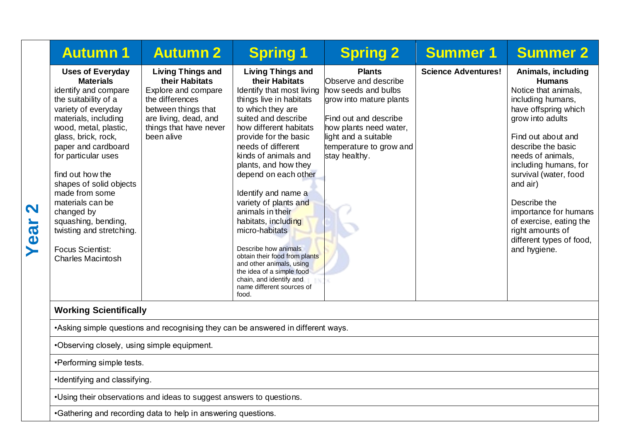|                     | <b>Autumn1</b>                                                                                                                                                                                                                                                                                                                                                                                                                                        | <b>Autumn 2</b>                                                                                                                                                              | <b>Spring 1</b>                                                                                                                                                                                                                                                                                                                                                                                                                                                                                                                                                                                 | <b>Spring 2</b>                                                                                                                                                                                                | <b>Summer 1</b>            | <b>Summer 2</b>                                                                                                                                                                                                                                                                                                                                                                                 |  |  |  |  |  |
|---------------------|-------------------------------------------------------------------------------------------------------------------------------------------------------------------------------------------------------------------------------------------------------------------------------------------------------------------------------------------------------------------------------------------------------------------------------------------------------|------------------------------------------------------------------------------------------------------------------------------------------------------------------------------|-------------------------------------------------------------------------------------------------------------------------------------------------------------------------------------------------------------------------------------------------------------------------------------------------------------------------------------------------------------------------------------------------------------------------------------------------------------------------------------------------------------------------------------------------------------------------------------------------|----------------------------------------------------------------------------------------------------------------------------------------------------------------------------------------------------------------|----------------------------|-------------------------------------------------------------------------------------------------------------------------------------------------------------------------------------------------------------------------------------------------------------------------------------------------------------------------------------------------------------------------------------------------|--|--|--|--|--|
| $\mathbf N$<br>Year | <b>Uses of Everyday</b><br><b>Materials</b><br>identify and compare<br>the suitability of a<br>variety of everyday<br>materials, including<br>wood, metal, plastic,<br>glass, brick, rock,<br>paper and cardboard<br>for particular uses<br>find out how the<br>shapes of solid objects<br>made from some<br>materials can be<br>changed by<br>squashing, bending,<br>twisting and stretching.<br><b>Focus Scientist:</b><br><b>Charles Macintosh</b> | <b>Living Things and</b><br>their Habitats<br>Explore and compare<br>the differences<br>between things that<br>are living, dead, and<br>things that have never<br>been alive | <b>Living Things and</b><br>their Habitats<br>Identify that most living<br>things live in habitats<br>to which they are<br>suited and describe<br>how different habitats<br>provide for the basic<br>needs of different<br>kinds of animals and<br>plants, and how they<br>depend on each other<br>Identify and name a<br>variety of plants and<br>animals in their<br>habitats, including<br>micro-habitats<br>Describe how animals<br>obtain their food from plants<br>and other animals, using<br>the idea of a simple food<br>chain, and identify and<br>name different sources of<br>food. | <b>Plants</b><br>Observe and describe<br>how seeds and bulbs<br>grow into mature plants<br>Find out and describe<br>how plants need water,<br>light and a suitable<br>temperature to grow and<br>stay healthy. | <b>Science Adventures!</b> | Animals, including<br><b>Humans</b><br>Notice that animals,<br>including humans,<br>have offspring which<br>grow into adults<br>Find out about and<br>describe the basic<br>needs of animals,<br>including humans, for<br>survival (water, food<br>and air)<br>Describe the<br>importance for humans<br>of exercise, eating the<br>right amounts of<br>different types of food,<br>and hygiene. |  |  |  |  |  |
|                     |                                                                                                                                                                                                                                                                                                                                                                                                                                                       | <b>Working Scientifically</b>                                                                                                                                                |                                                                                                                                                                                                                                                                                                                                                                                                                                                                                                                                                                                                 |                                                                                                                                                                                                                |                            |                                                                                                                                                                                                                                                                                                                                                                                                 |  |  |  |  |  |
|                     |                                                                                                                                                                                                                                                                                                                                                                                                                                                       |                                                                                                                                                                              | •Asking simple questions and recognising they can be answered in different ways.                                                                                                                                                                                                                                                                                                                                                                                                                                                                                                                |                                                                                                                                                                                                                |                            |                                                                                                                                                                                                                                                                                                                                                                                                 |  |  |  |  |  |
|                     | •Observing closely, using simple equipment.                                                                                                                                                                                                                                                                                                                                                                                                           |                                                                                                                                                                              |                                                                                                                                                                                                                                                                                                                                                                                                                                                                                                                                                                                                 |                                                                                                                                                                                                                |                            |                                                                                                                                                                                                                                                                                                                                                                                                 |  |  |  |  |  |
|                     |                                                                                                                                                                                                                                                                                                                                                                                                                                                       | •Performing simple tests.                                                                                                                                                    |                                                                                                                                                                                                                                                                                                                                                                                                                                                                                                                                                                                                 |                                                                                                                                                                                                                |                            |                                                                                                                                                                                                                                                                                                                                                                                                 |  |  |  |  |  |
|                     | ·Identifying and classifying.                                                                                                                                                                                                                                                                                                                                                                                                                         |                                                                                                                                                                              |                                                                                                                                                                                                                                                                                                                                                                                                                                                                                                                                                                                                 |                                                                                                                                                                                                                |                            |                                                                                                                                                                                                                                                                                                                                                                                                 |  |  |  |  |  |
|                     |                                                                                                                                                                                                                                                                                                                                                                                                                                                       | . Using their observations and ideas to suggest answers to questions.                                                                                                        |                                                                                                                                                                                                                                                                                                                                                                                                                                                                                                                                                                                                 |                                                                                                                                                                                                                |                            |                                                                                                                                                                                                                                                                                                                                                                                                 |  |  |  |  |  |
|                     |                                                                                                                                                                                                                                                                                                                                                                                                                                                       | •Gathering and recording data to help in answering questions.                                                                                                                |                                                                                                                                                                                                                                                                                                                                                                                                                                                                                                                                                                                                 |                                                                                                                                                                                                                |                            |                                                                                                                                                                                                                                                                                                                                                                                                 |  |  |  |  |  |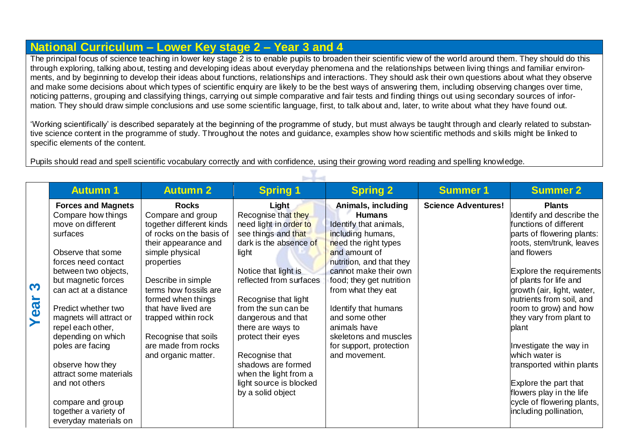## **National Curriculum – Lower Key stage 2 – Year 3 and 4**

The principal focus of science teaching in lower key stage 2 is to enable pupils to broaden their scientific view of the world around them. They should do this through exploring, talking about, testing and developing ideas about everyday phenomena and the relationships between living things and familiar environments, and by beginning to develop their ideas about functions, relationships and interactions. They should ask their own questions about what they observe and make some decisions about which types of scientific enquiry are likely to be the best ways of answering them, including observing changes over time, noticing patterns, grouping and classifying things, carrying out simple comparative and fair tests and finding things out using secondary sources of information. They should draw simple conclusions and use some scientific language, first, to talk about and, later, to write about what they have found out.

'Working scientifically' is described separately at the beginning of the programme of study, but must always be taught through and clearly related to substantive science content in the programme of study. Throughout the notes and guidance, examples show how scientific methods and skills might be linked to specific elements of the content.

Pupils should read and spell scientific vocabulary correctly and with confidence, using their growing word reading and spelling knowledge.

|           | <b>Autumn 1</b>                                                                                                                                                                                                                                                                                                                                                                                                                                              | <b>Autumn 2</b>                                                                                                                                                                                                                                                                                                                             | <b>Spring 1</b>                                                                                                                                                                                                                                                                                                                                                                                      | <b>Spring 2</b>                                                                                                                                                                                                                                                                                                                                                   | <b>Summer 1</b>            | <b>Summer 2</b>                                                                                                                                                                                                                                                                                                                                                                                                                                                                                                   |
|-----------|--------------------------------------------------------------------------------------------------------------------------------------------------------------------------------------------------------------------------------------------------------------------------------------------------------------------------------------------------------------------------------------------------------------------------------------------------------------|---------------------------------------------------------------------------------------------------------------------------------------------------------------------------------------------------------------------------------------------------------------------------------------------------------------------------------------------|------------------------------------------------------------------------------------------------------------------------------------------------------------------------------------------------------------------------------------------------------------------------------------------------------------------------------------------------------------------------------------------------------|-------------------------------------------------------------------------------------------------------------------------------------------------------------------------------------------------------------------------------------------------------------------------------------------------------------------------------------------------------------------|----------------------------|-------------------------------------------------------------------------------------------------------------------------------------------------------------------------------------------------------------------------------------------------------------------------------------------------------------------------------------------------------------------------------------------------------------------------------------------------------------------------------------------------------------------|
| S<br>Year | <b>Forces and Magnets</b><br>Compare how things<br>move on different<br>surfaces<br>Observe that some<br>forces need contact<br>between two objects,<br>but magnetic forces<br>can act at a distance<br>Predict whether two<br>magnets will attract or<br>repel each other,<br>depending on which<br>poles are facing<br>observe how they<br>attract some materials<br>and not others<br>compare and group<br>together a variety of<br>everyday materials on | <b>Rocks</b><br>Compare and group<br>together different kinds<br>of rocks on the basis of<br>their appearance and<br>simple physical<br>properties<br>Describe in simple<br>terms how fossils are<br>formed when things<br>that have lived are<br>trapped within rock<br>Recognise that soils<br>are made from rocks<br>and organic matter. | Light<br>Recognise that they<br>need light in order to<br>see things and that<br>dark is the absence of<br>light<br>Notice that light is<br>reflected from surfaces<br>Recognise that light<br>from the sun can be<br>dangerous and that<br>there are ways to<br>protect their eyes<br>Recognise that<br>shadows are formed<br>when the light from a<br>light source is blocked<br>by a solid object | Animals, including<br><b>Humans</b><br>Identify that animals,<br>including humans,<br>need the right types<br>and amount of<br>nutrition, and that they<br>cannot make their own<br>food; they get nutrition<br>from what they eat<br>Identify that humans<br>and some other<br>animals have<br>skeletons and muscles<br>for support, protection<br>and movement. | <b>Science Adventures!</b> | <b>Plants</b><br>Identify and describe the<br>functions of different<br>parts of flowering plants:<br>roots, stem/trunk, leaves<br>and flowers<br>Explore the requirements<br>of plants for life and<br>growth (air, light, water,<br>nutrients from soil, and<br>room to grow) and how<br>they vary from plant to<br>plant<br>Investigate the way in<br>which water is<br>transported within plants<br>Explore the part that<br>flowers play in the life<br>cycle of flowering plants,<br>including pollination, |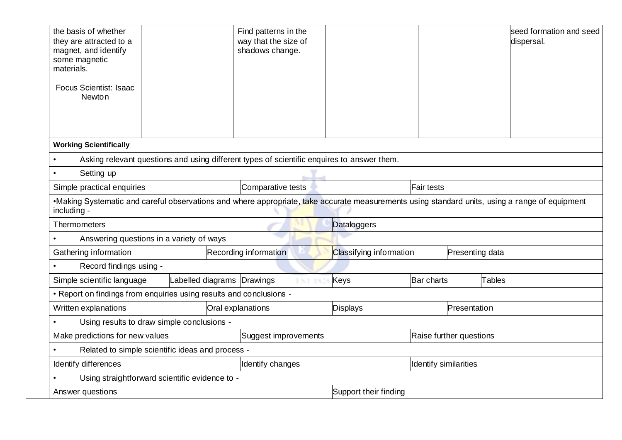| the basis of whether<br>they are attracted to a<br>magnet, and identify<br>some magnetic                                                                      |                                                  | Find patterns in the<br>way that the size of<br>shadows change. |  |                         |                   |                              | seed formation and seed<br>dispersal. |  |  |
|---------------------------------------------------------------------------------------------------------------------------------------------------------------|--------------------------------------------------|-----------------------------------------------------------------|--|-------------------------|-------------------|------------------------------|---------------------------------------|--|--|
| materials.                                                                                                                                                    |                                                  |                                                                 |  |                         |                   |                              |                                       |  |  |
| <b>Focus Scientist: Isaac</b><br>Newton                                                                                                                       |                                                  |                                                                 |  |                         |                   |                              |                                       |  |  |
|                                                                                                                                                               |                                                  |                                                                 |  |                         |                   |                              |                                       |  |  |
|                                                                                                                                                               |                                                  |                                                                 |  |                         |                   |                              |                                       |  |  |
| <b>Working Scientifically</b>                                                                                                                                 |                                                  |                                                                 |  |                         |                   |                              |                                       |  |  |
| Asking relevant questions and using different types of scientific enquires to answer them.                                                                    |                                                  |                                                                 |  |                         |                   |                              |                                       |  |  |
| Setting up                                                                                                                                                    |                                                  |                                                                 |  |                         |                   |                              |                                       |  |  |
| Simple practical enquiries                                                                                                                                    |                                                  | Comparative tests                                               |  |                         | <b>Fair tests</b> |                              |                                       |  |  |
| •Making Systematic and careful observations and where appropriate, take accurate measurements using standard units, using a range of equipment<br>including - |                                                  |                                                                 |  |                         |                   |                              |                                       |  |  |
| Thermometers                                                                                                                                                  |                                                  |                                                                 |  | Dataloggers             |                   |                              |                                       |  |  |
|                                                                                                                                                               | Answering questions in a variety of ways         |                                                                 |  |                         |                   |                              |                                       |  |  |
| Gathering information                                                                                                                                         |                                                  | Recording information                                           |  | Classifying information |                   | Presenting data              |                                       |  |  |
| Record findings using -                                                                                                                                       |                                                  |                                                                 |  |                         |                   |                              |                                       |  |  |
| Simple scientific language                                                                                                                                    |                                                  | Labelled diagrams Drawings                                      |  | Keys                    | <b>Bar charts</b> |                              | <b>Tables</b>                         |  |  |
| . Report on findings from enquiries using results and conclusions -                                                                                           |                                                  |                                                                 |  |                         |                   |                              |                                       |  |  |
| Written explanations                                                                                                                                          |                                                  | Oral explanations                                               |  | <b>Displays</b>         |                   | Presentation                 |                                       |  |  |
|                                                                                                                                                               | Using results to draw simple conclusions -       |                                                                 |  |                         |                   |                              |                                       |  |  |
| Make predictions for new values                                                                                                                               |                                                  | Suggest improvements                                            |  |                         |                   | Raise further questions      |                                       |  |  |
|                                                                                                                                                               | Related to simple scientific ideas and process - |                                                                 |  |                         |                   |                              |                                       |  |  |
| Identify differences                                                                                                                                          |                                                  | Identify changes                                                |  |                         |                   | <b>Identify similarities</b> |                                       |  |  |
|                                                                                                                                                               | Using straightforward scientific evidence to -   |                                                                 |  |                         |                   |                              |                                       |  |  |
| Answer questions                                                                                                                                              | Support their finding                            |                                                                 |  |                         |                   |                              |                                       |  |  |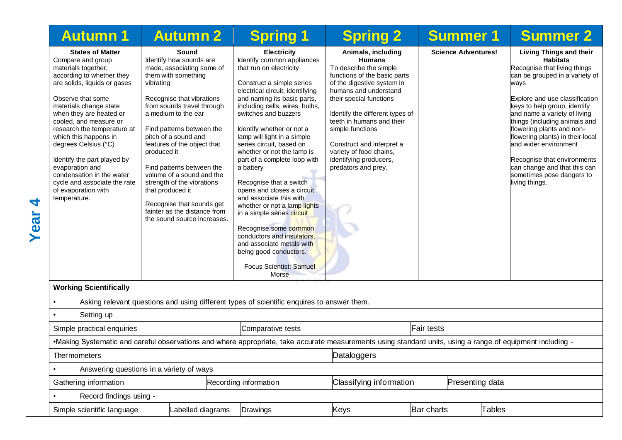| <b>Autumn1</b>                                                                                                                                                                                                                                                                                                                                                                                                                                                             | <b>Autumn 2</b>                                                                                                                                                                                                                                                                                                                                                                                                                                                                                                                                                                                                                                                                                                                                                                                                                                                                                                                                                                                                                                                                                                                                                                                                      | <b>Spring 1</b>                                                                                                                                            | <b>Spring 2</b>                                                                                                                                                                                                                                                                                                                                                              |                   | <b>Summer 1</b>            |        | <b>Summer 2</b>                                                                                                                                                                                                                                                                                                                                                                                                                                                        |  |  |
|----------------------------------------------------------------------------------------------------------------------------------------------------------------------------------------------------------------------------------------------------------------------------------------------------------------------------------------------------------------------------------------------------------------------------------------------------------------------------|----------------------------------------------------------------------------------------------------------------------------------------------------------------------------------------------------------------------------------------------------------------------------------------------------------------------------------------------------------------------------------------------------------------------------------------------------------------------------------------------------------------------------------------------------------------------------------------------------------------------------------------------------------------------------------------------------------------------------------------------------------------------------------------------------------------------------------------------------------------------------------------------------------------------------------------------------------------------------------------------------------------------------------------------------------------------------------------------------------------------------------------------------------------------------------------------------------------------|------------------------------------------------------------------------------------------------------------------------------------------------------------|------------------------------------------------------------------------------------------------------------------------------------------------------------------------------------------------------------------------------------------------------------------------------------------------------------------------------------------------------------------------------|-------------------|----------------------------|--------|------------------------------------------------------------------------------------------------------------------------------------------------------------------------------------------------------------------------------------------------------------------------------------------------------------------------------------------------------------------------------------------------------------------------------------------------------------------------|--|--|
| <b>States of Matter</b><br>Compare and group<br>materials together,<br>according to whether they<br>are solids, liquids or gases<br>Observe that some<br>materials change state<br>when they are heated or<br>cooled, and measure or<br>research the temperature at<br>which this happens in<br>degrees Celsius (°C)<br>Identify the part played by<br>evaporation and<br>condensation in the water<br>cycle and associate the rate<br>of evaporation with<br>temperature. | <b>Electricity</b><br>Sound<br>Identify how sounds are<br>Identify common appliances<br>made, associating some of<br>that run on electricity<br>them with something<br>vibrating<br>Construct a simple series<br>electrical circuit, identifying<br>Recognise that vibrations<br>and naming its basic parts,<br>from sounds travel through<br>including cells, wires, bulbs,<br>a medium to the ear<br>switches and buzzers<br>Find patterns between the<br>Identify whether or not a<br>pitch of a sound and<br>lamp will light in a simple<br>features of the object that<br>series circuit, based on<br>produced it<br>whether or not the lamp is<br>part of a complete loop with<br>Find patterns between the<br>a battery<br>volume of a sound and the<br>Recognise that a switch<br>strength of the vibrations<br>opens and closes a circuit<br>that produced it<br>and associate this with<br>Recognise that sounds get<br>whether or not a lamp lights<br>fainter as the distance from<br>in a simple series circuit<br>the sound source increases.<br>Recognise some common<br>conductors and insulators,<br>and associate metals with<br>being good conductors.<br><b>Focus Scientist: Samuel</b><br>Morse |                                                                                                                                                            | Animals, including<br><b>Humans</b><br>To describe the simple<br>functions of the basic parts<br>of the digestive system in<br>humans and understand<br>their special functions<br>Identify the different types of<br>teeth in humans and their<br>simple functions<br>Construct and interpret a<br>variety of food chains,<br>identifying producers,<br>predators and prey. |                   | <b>Science Adventures!</b> |        | <b>Living Things and their</b><br><b>Habitats</b><br>Recognise that living things<br>can be grouped in a variety of<br>ways<br>Explore and use classification<br>keys to help group, identify<br>and name a variety of living<br>things (including animals and<br>flowering plants and non-<br>flowering plants) in their local<br>and wider environment<br>Recognise that environments<br>can change and that this can<br>sometimes pose dangers to<br>living things. |  |  |
| <b>Working Scientifically</b>                                                                                                                                                                                                                                                                                                                                                                                                                                              |                                                                                                                                                                                                                                                                                                                                                                                                                                                                                                                                                                                                                                                                                                                                                                                                                                                                                                                                                                                                                                                                                                                                                                                                                      |                                                                                                                                                            |                                                                                                                                                                                                                                                                                                                                                                              |                   |                            |        |                                                                                                                                                                                                                                                                                                                                                                                                                                                                        |  |  |
|                                                                                                                                                                                                                                                                                                                                                                                                                                                                            |                                                                                                                                                                                                                                                                                                                                                                                                                                                                                                                                                                                                                                                                                                                                                                                                                                                                                                                                                                                                                                                                                                                                                                                                                      | Asking relevant questions and using different types of scientific enquires to answer them.                                                                 |                                                                                                                                                                                                                                                                                                                                                                              |                   |                            |        |                                                                                                                                                                                                                                                                                                                                                                                                                                                                        |  |  |
| Setting up<br>$\bullet$                                                                                                                                                                                                                                                                                                                                                                                                                                                    |                                                                                                                                                                                                                                                                                                                                                                                                                                                                                                                                                                                                                                                                                                                                                                                                                                                                                                                                                                                                                                                                                                                                                                                                                      |                                                                                                                                                            |                                                                                                                                                                                                                                                                                                                                                                              |                   |                            |        |                                                                                                                                                                                                                                                                                                                                                                                                                                                                        |  |  |
| Simple practical enquiries                                                                                                                                                                                                                                                                                                                                                                                                                                                 |                                                                                                                                                                                                                                                                                                                                                                                                                                                                                                                                                                                                                                                                                                                                                                                                                                                                                                                                                                                                                                                                                                                                                                                                                      | Comparative tests                                                                                                                                          |                                                                                                                                                                                                                                                                                                                                                                              | Fair tests        |                            |        |                                                                                                                                                                                                                                                                                                                                                                                                                                                                        |  |  |
|                                                                                                                                                                                                                                                                                                                                                                                                                                                                            |                                                                                                                                                                                                                                                                                                                                                                                                                                                                                                                                                                                                                                                                                                                                                                                                                                                                                                                                                                                                                                                                                                                                                                                                                      | •Making Systematic and careful observations and where appropriate, take accurate measurements using standard units, using a range of equipment including - |                                                                                                                                                                                                                                                                                                                                                                              |                   |                            |        |                                                                                                                                                                                                                                                                                                                                                                                                                                                                        |  |  |
| Thermometers                                                                                                                                                                                                                                                                                                                                                                                                                                                               | Dataloggers                                                                                                                                                                                                                                                                                                                                                                                                                                                                                                                                                                                                                                                                                                                                                                                                                                                                                                                                                                                                                                                                                                                                                                                                          |                                                                                                                                                            |                                                                                                                                                                                                                                                                                                                                                                              |                   |                            |        |                                                                                                                                                                                                                                                                                                                                                                                                                                                                        |  |  |
| $\bullet$                                                                                                                                                                                                                                                                                                                                                                                                                                                                  | Answering questions in a variety of ways                                                                                                                                                                                                                                                                                                                                                                                                                                                                                                                                                                                                                                                                                                                                                                                                                                                                                                                                                                                                                                                                                                                                                                             |                                                                                                                                                            |                                                                                                                                                                                                                                                                                                                                                                              |                   |                            |        |                                                                                                                                                                                                                                                                                                                                                                                                                                                                        |  |  |
| Gathering information                                                                                                                                                                                                                                                                                                                                                                                                                                                      |                                                                                                                                                                                                                                                                                                                                                                                                                                                                                                                                                                                                                                                                                                                                                                                                                                                                                                                                                                                                                                                                                                                                                                                                                      | Recording information                                                                                                                                      | Classifying information                                                                                                                                                                                                                                                                                                                                                      |                   | Presenting data            |        |                                                                                                                                                                                                                                                                                                                                                                                                                                                                        |  |  |
| Record findings using -                                                                                                                                                                                                                                                                                                                                                                                                                                                    |                                                                                                                                                                                                                                                                                                                                                                                                                                                                                                                                                                                                                                                                                                                                                                                                                                                                                                                                                                                                                                                                                                                                                                                                                      |                                                                                                                                                            |                                                                                                                                                                                                                                                                                                                                                                              |                   |                            |        |                                                                                                                                                                                                                                                                                                                                                                                                                                                                        |  |  |
| Simple scientific language                                                                                                                                                                                                                                                                                                                                                                                                                                                 | Labelled diagrams                                                                                                                                                                                                                                                                                                                                                                                                                                                                                                                                                                                                                                                                                                                                                                                                                                                                                                                                                                                                                                                                                                                                                                                                    | Drawings                                                                                                                                                   | <b>Keys</b>                                                                                                                                                                                                                                                                                                                                                                  | <b>Bar charts</b> |                            | Tables |                                                                                                                                                                                                                                                                                                                                                                                                                                                                        |  |  |

**Year 4**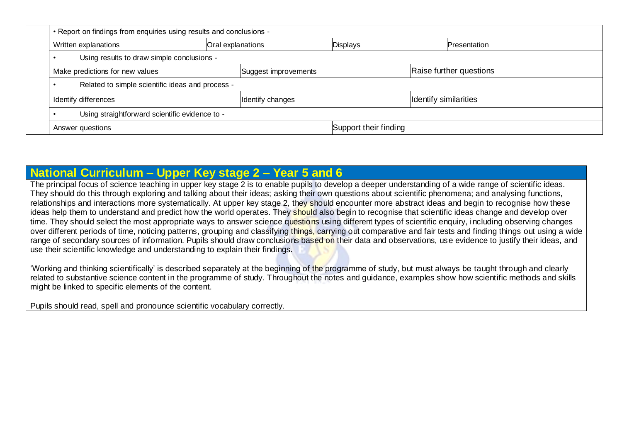|                                                  | • Report on findings from enquiries using results and conclusions - |                  |                         |                              |                     |  |  |  |  |
|--------------------------------------------------|---------------------------------------------------------------------|------------------|-------------------------|------------------------------|---------------------|--|--|--|--|
| Written explanations                             | Oral explanations                                                   |                  | <b>Displays</b>         |                              | <b>Presentation</b> |  |  |  |  |
| Using results to draw simple conclusions -       |                                                                     |                  |                         |                              |                     |  |  |  |  |
| Make predictions for new values                  | Suggest improvements                                                |                  | Raise further questions |                              |                     |  |  |  |  |
| Related to simple scientific ideas and process - |                                                                     |                  |                         |                              |                     |  |  |  |  |
| Identify differences                             |                                                                     | Identify changes |                         | <b>Identify similarities</b> |                     |  |  |  |  |
| Using straightforward scientific evidence to -   |                                                                     |                  |                         |                              |                     |  |  |  |  |
| Answer questions                                 |                                                                     |                  | Support their finding   |                              |                     |  |  |  |  |

## **National Curriculum – Upper Key stage 2 – Year 5 and 6**

The principal focus of science teaching in upper key stage 2 is to enable pupils to develop a deeper understanding of a wide range of scientific ideas. They should do this through exploring and talking about their ideas; asking their own questions about scientific phenomena; and analysing functions, relationships and interactions more systematically. At upper key stage 2, they should encounter more abstract ideas and begin to recognise how these ideas help them to understand and predict how the world operates. They should also begin to recognise that scientific ideas change and develop over time. They should select the most appropriate ways to answer science questions using different types of scientific enquiry, including observing changes over different periods of time, noticing patterns, grouping and classifying things, carrying out comparative and fair tests and finding things out using a wide range of secondary sources of information. Pupils should draw conclusions based on their data and observations, use evidence to justify their ideas, and use their scientific knowledge and understanding to explain their findings.

'Working and thinking scientifically' is described separately at the beginning of the programme of study, but must always be taught through and clearly related to substantive science content in the programme of study. Throughout the notes and guidance, examples show how scientific methods and skills might be linked to specific elements of the content.

Pupils should read, spell and pronounce scientific vocabulary correctly.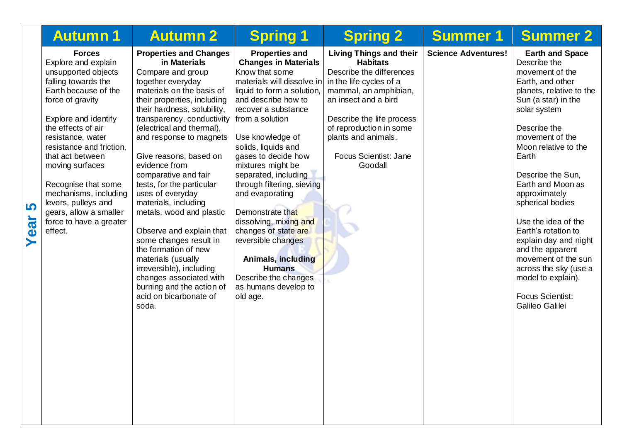|                   | <b>Autumn1</b>                                                                                                                                                                                                                                                                                                                                                                                              | <b>Autumn 2</b>                                                                                                                                                                                                                                                                                                                                                                                                                                                                                                                                                                                                                                                             | <b>Spring 1</b>                                                                                                                                                                                                                                                                                                                                                                                                                                                                                                                                                    | <b>Spring 2</b>                                                                                                                                                                                                                                                                     | <b>Summer 1</b>            | <b>Summer 2</b>                                                                                                                                                                                                                                                                                                                                                                                                                                                                                                    |
|-------------------|-------------------------------------------------------------------------------------------------------------------------------------------------------------------------------------------------------------------------------------------------------------------------------------------------------------------------------------------------------------------------------------------------------------|-----------------------------------------------------------------------------------------------------------------------------------------------------------------------------------------------------------------------------------------------------------------------------------------------------------------------------------------------------------------------------------------------------------------------------------------------------------------------------------------------------------------------------------------------------------------------------------------------------------------------------------------------------------------------------|--------------------------------------------------------------------------------------------------------------------------------------------------------------------------------------------------------------------------------------------------------------------------------------------------------------------------------------------------------------------------------------------------------------------------------------------------------------------------------------------------------------------------------------------------------------------|-------------------------------------------------------------------------------------------------------------------------------------------------------------------------------------------------------------------------------------------------------------------------------------|----------------------------|--------------------------------------------------------------------------------------------------------------------------------------------------------------------------------------------------------------------------------------------------------------------------------------------------------------------------------------------------------------------------------------------------------------------------------------------------------------------------------------------------------------------|
| <b>10</b><br>Year | <b>Forces</b><br>Explore and explain<br>unsupported objects<br>falling towards the<br>Earth because of the<br>force of gravity<br>Explore and identify<br>the effects of air<br>resistance, water<br>resistance and friction,<br>that act between<br>moving surfaces<br>Recognise that some<br>mechanisms, including<br>levers, pulleys and<br>gears, allow a smaller<br>force to have a greater<br>effect. | <b>Properties and Changes</b><br>in Materials<br>Compare and group<br>together everyday<br>materials on the basis of<br>their properties, including<br>their hardness, solubility,<br>transparency, conductivity<br>(electrical and thermal),<br>and response to magnets<br>Give reasons, based on<br>evidence from<br>comparative and fair<br>tests, for the particular<br>uses of everyday<br>materials, including<br>metals, wood and plastic<br>Observe and explain that<br>some changes result in<br>the formation of new<br>materials (usually<br>irreversible), including<br>changes associated with<br>burning and the action of<br>acid on bicarbonate of<br>soda. | <b>Properties and</b><br><b>Changes in Materials</b><br>Know that some<br>materials will dissolve in<br>liquid to form a solution,<br>and describe how to<br>recover a substance<br>from a solution<br>Use knowledge of<br>solids, liquids and<br>gases to decide how<br>mixtures might be<br>separated, including<br>through filtering, sieving<br>and evaporating<br>Demonstrate that<br>dissolving, mixing and<br>changes of state are<br>reversible changes<br>Animals, including<br><b>Humans</b><br>Describe the changes<br>as humans develop to<br>old age. | <b>Living Things and their</b><br><b>Habitats</b><br>Describe the differences<br>in the life cycles of a<br>mammal, an amphibian,<br>an insect and a bird<br>Describe the life process<br>of reproduction in some<br>plants and animals.<br><b>Focus Scientist: Jane</b><br>Goodall | <b>Science Adventures!</b> | <b>Earth and Space</b><br>Describe the<br>movement of the<br>Earth, and other<br>planets, relative to the<br>Sun (a star) in the<br>solar system<br>Describe the<br>movement of the<br>Moon relative to the<br>Earth<br>Describe the Sun,<br>Earth and Moon as<br>approximately<br>spherical bodies<br>Use the idea of the<br>Earth's rotation to<br>explain day and night<br>and the apparent<br>movement of the sun<br>across the sky (use a<br>model to explain).<br><b>Focus Scientist:</b><br>Galileo Galilei |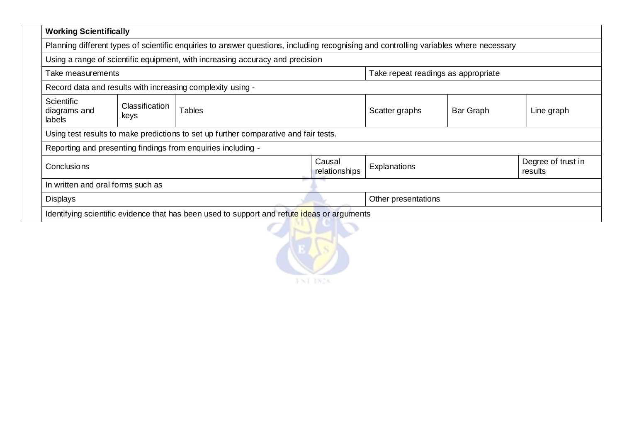| <b>Working Scientifically</b>                                                               |                        |                                                                                                                                       |                         |                |                  |                               |  |  |  |  |
|---------------------------------------------------------------------------------------------|------------------------|---------------------------------------------------------------------------------------------------------------------------------------|-------------------------|----------------|------------------|-------------------------------|--|--|--|--|
|                                                                                             |                        | Planning different types of scientific enquiries to answer questions, including recognising and controlling variables where necessary |                         |                |                  |                               |  |  |  |  |
| Using a range of scientific equipment, with increasing accuracy and precision               |                        |                                                                                                                                       |                         |                |                  |                               |  |  |  |  |
| Take repeat readings as appropriate<br>Take measurements                                    |                        |                                                                                                                                       |                         |                |                  |                               |  |  |  |  |
| Record data and results with increasing complexity using -                                  |                        |                                                                                                                                       |                         |                |                  |                               |  |  |  |  |
| Scientific<br>diagrams and<br>labels                                                        | Classification<br>keys | <b>Tables</b>                                                                                                                         |                         | Scatter graphs | <b>Bar Graph</b> | Line graph                    |  |  |  |  |
|                                                                                             |                        | Using test results to make predictions to set up further comparative and fair tests.                                                  |                         |                |                  |                               |  |  |  |  |
|                                                                                             |                        | Reporting and presenting findings from enquiries including -                                                                          |                         |                |                  |                               |  |  |  |  |
| Conclusions                                                                                 |                        |                                                                                                                                       | Causal<br>relationships | Explanations   |                  | Degree of trust in<br>results |  |  |  |  |
| In written and oral forms such as                                                           |                        |                                                                                                                                       |                         |                |                  |                               |  |  |  |  |
| <b>Displays</b><br>Other presentations                                                      |                        |                                                                                                                                       |                         |                |                  |                               |  |  |  |  |
| Identifying scientific evidence that has been used to support and refute ideas or arguments |                        |                                                                                                                                       |                         |                |                  |                               |  |  |  |  |
|                                                                                             |                        |                                                                                                                                       |                         |                |                  |                               |  |  |  |  |

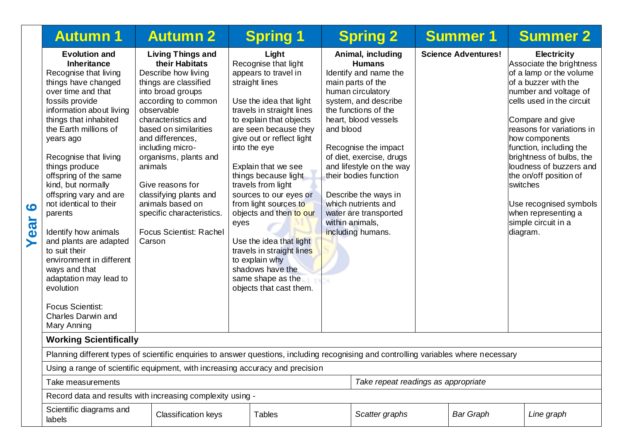|                   | <b>Autumn1</b>                                                                                                                                                                                                                                                                                                                                                                                                                                                                                                                                                                                                 | <b>Autumn 2</b>                                                                                                                                                                                                                                                                                                                                                                                                             |      | <b>Spring 1</b>                                                                                                                                                                                                                                                                                                                                                                                                                                                                                                                   |           | <b>Spring 2</b>                                                                                                                                                                                                                                                                                                                                                                                        | <b>Summer 1</b>            |                      | <b>Summer 2</b>                                                                                                                                                                                                                                                                                                                                                                                                |
|-------------------|----------------------------------------------------------------------------------------------------------------------------------------------------------------------------------------------------------------------------------------------------------------------------------------------------------------------------------------------------------------------------------------------------------------------------------------------------------------------------------------------------------------------------------------------------------------------------------------------------------------|-----------------------------------------------------------------------------------------------------------------------------------------------------------------------------------------------------------------------------------------------------------------------------------------------------------------------------------------------------------------------------------------------------------------------------|------|-----------------------------------------------------------------------------------------------------------------------------------------------------------------------------------------------------------------------------------------------------------------------------------------------------------------------------------------------------------------------------------------------------------------------------------------------------------------------------------------------------------------------------------|-----------|--------------------------------------------------------------------------------------------------------------------------------------------------------------------------------------------------------------------------------------------------------------------------------------------------------------------------------------------------------------------------------------------------------|----------------------------|----------------------|----------------------------------------------------------------------------------------------------------------------------------------------------------------------------------------------------------------------------------------------------------------------------------------------------------------------------------------------------------------------------------------------------------------|
| $\bullet$<br>Year | <b>Evolution and</b><br><b>Inheritance</b><br>Recognise that living<br>things have changed<br>over time and that<br>fossils provide<br>information about living<br>things that inhabited<br>the Earth millions of<br>years ago<br>Recognise that living<br>things produce<br>offspring of the same<br>kind, but normally<br>offspring vary and are<br>not identical to their<br>parents<br>Identify how animals<br>and plants are adapted<br>to suit their<br>environment in different<br>ways and that<br>adaptation may lead to<br>evolution<br><b>Focus Scientist:</b><br>Charles Darwin and<br>Mary Anning | <b>Living Things and</b><br>their Habitats<br>Describe how living<br>things are classified<br>into broad groups<br>according to common<br>observable<br>characteristics and<br>based on similarities<br>and differences,<br>including micro-<br>organisms, plants and<br>animals<br>Give reasons for<br>classifying plants and<br>animals based on<br>specific characteristics.<br><b>Focus Scientist: Rachel</b><br>Carson | eyes | Light<br>Recognise that light<br>appears to travel in<br>straight lines<br>Use the idea that light<br>travels in straight lines<br>to explain that objects<br>are seen because they<br>give out or reflect light<br>into the eye<br>Explain that we see<br>things because light<br>travels from light<br>sources to our eyes or<br>from light sources to<br>objects and then to our<br>Use the idea that light<br>travels in straight lines<br>to explain why<br>shadows have the<br>same shape as the<br>objects that cast them. | and blood | Animal, including<br><b>Humans</b><br>Identify and name the<br>main parts of the<br>human circulatory<br>system, and describe<br>the functions of the<br>heart, blood vessels<br>Recognise the impact<br>of diet, exercise, drugs<br>and lifestyle on the way<br>their bodies function<br>Describe the ways in<br>which nutrients and<br>water are transported<br>within animals,<br>including humans. | <b>Science Adventures!</b> | switches<br>diagram. | <b>Electricity</b><br>Associate the brightness<br>of a lamp or the volume<br>of a buzzer with the<br>number and voltage of<br>cells used in the circuit<br>Compare and give<br>reasons for variations in<br>how components<br>function, including the<br>brightness of bulbs, the<br>loudness of buzzers and<br>the on/off position of<br>Use recognised symbols<br>when representing a<br>simple circuit in a |
|                   | <b>Working Scientifically</b>                                                                                                                                                                                                                                                                                                                                                                                                                                                                                                                                                                                  |                                                                                                                                                                                                                                                                                                                                                                                                                             |      |                                                                                                                                                                                                                                                                                                                                                                                                                                                                                                                                   |           |                                                                                                                                                                                                                                                                                                                                                                                                        |                            |                      |                                                                                                                                                                                                                                                                                                                                                                                                                |
|                   |                                                                                                                                                                                                                                                                                                                                                                                                                                                                                                                                                                                                                | Planning different types of scientific enquiries to answer questions, including recognising and controlling variables where necessary<br>Using a range of scientific equipment, with increasing accuracy and precision                                                                                                                                                                                                      |      |                                                                                                                                                                                                                                                                                                                                                                                                                                                                                                                                   |           |                                                                                                                                                                                                                                                                                                                                                                                                        |                            |                      |                                                                                                                                                                                                                                                                                                                                                                                                                |
|                   | Take measurements                                                                                                                                                                                                                                                                                                                                                                                                                                                                                                                                                                                              |                                                                                                                                                                                                                                                                                                                                                                                                                             |      |                                                                                                                                                                                                                                                                                                                                                                                                                                                                                                                                   |           | Take repeat readings as appropriate                                                                                                                                                                                                                                                                                                                                                                    |                            |                      |                                                                                                                                                                                                                                                                                                                                                                                                                |
|                   |                                                                                                                                                                                                                                                                                                                                                                                                                                                                                                                                                                                                                | Record data and results with increasing complexity using -                                                                                                                                                                                                                                                                                                                                                                  |      |                                                                                                                                                                                                                                                                                                                                                                                                                                                                                                                                   |           |                                                                                                                                                                                                                                                                                                                                                                                                        |                            |                      |                                                                                                                                                                                                                                                                                                                                                                                                                |
|                   | Scientific diagrams and<br>labels                                                                                                                                                                                                                                                                                                                                                                                                                                                                                                                                                                              | <b>Classification keys</b>                                                                                                                                                                                                                                                                                                                                                                                                  |      | Tables                                                                                                                                                                                                                                                                                                                                                                                                                                                                                                                            |           | Scatter graphs                                                                                                                                                                                                                                                                                                                                                                                         | <b>Bar Graph</b>           |                      | Line graph                                                                                                                                                                                                                                                                                                                                                                                                     |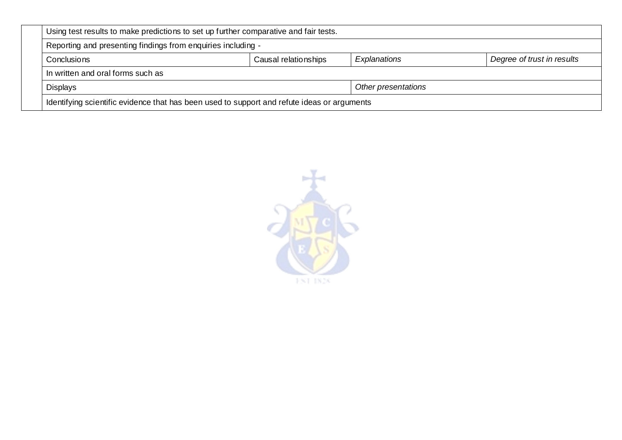|                                                                                             | Using test results to make predictions to set up further comparative and fair tests. |                     |                            |  |  |  |
|---------------------------------------------------------------------------------------------|--------------------------------------------------------------------------------------|---------------------|----------------------------|--|--|--|
|                                                                                             | Reporting and presenting findings from enquiries including -                         |                     |                            |  |  |  |
| Conclusions                                                                                 | Causal relationships                                                                 | Explanations        | Degree of trust in results |  |  |  |
| In written and oral forms such as                                                           |                                                                                      |                     |                            |  |  |  |
| <b>Displays</b>                                                                             |                                                                                      | Other presentations |                            |  |  |  |
| Identifying scientific evidence that has been used to support and refute ideas or arguments |                                                                                      |                     |                            |  |  |  |

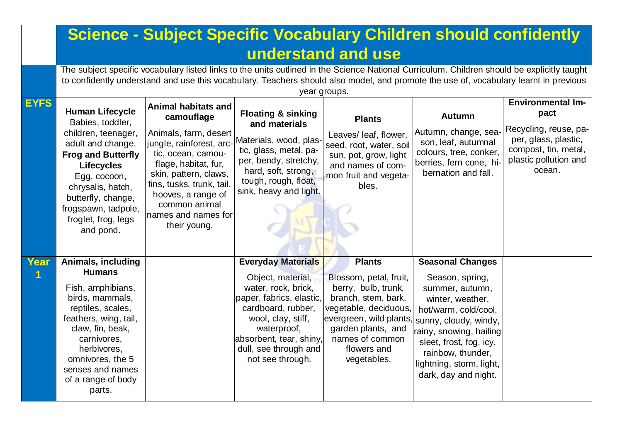|             | <b>Science - Subject Specific Vocabulary Children should confidently</b>                                                                                                                                                                                                                            |                                                                                                                                                                                                                                                                          |                                                                                                                                                                                                                                      |                                                                                                                                                                                       |                                                                                                                                                                                                                                                                                           |                                                                                                                                              |
|-------------|-----------------------------------------------------------------------------------------------------------------------------------------------------------------------------------------------------------------------------------------------------------------------------------------------------|--------------------------------------------------------------------------------------------------------------------------------------------------------------------------------------------------------------------------------------------------------------------------|--------------------------------------------------------------------------------------------------------------------------------------------------------------------------------------------------------------------------------------|---------------------------------------------------------------------------------------------------------------------------------------------------------------------------------------|-------------------------------------------------------------------------------------------------------------------------------------------------------------------------------------------------------------------------------------------------------------------------------------------|----------------------------------------------------------------------------------------------------------------------------------------------|
|             |                                                                                                                                                                                                                                                                                                     |                                                                                                                                                                                                                                                                          |                                                                                                                                                                                                                                      | understand and use                                                                                                                                                                    |                                                                                                                                                                                                                                                                                           |                                                                                                                                              |
|             | The subject specific vocabulary listed links to the units outlined in the Science National Curriculum. Children should be explicitly taught<br>to confidently understand and use this vocabulary. Teachers should also model, and promote the use of, vocabulary learnt in previous<br>year groups. |                                                                                                                                                                                                                                                                          |                                                                                                                                                                                                                                      |                                                                                                                                                                                       |                                                                                                                                                                                                                                                                                           |                                                                                                                                              |
| <b>EYFS</b> | <b>Human Lifecycle</b><br>Babies, toddler,<br>children, teenager,<br>adult and change.<br><b>Frog and Butterfly</b><br><b>Lifecycles</b><br>Egg, cocoon,<br>chrysalis, hatch,<br>butterfly, change,<br>frogspawn, tadpole,<br>froglet, frog, legs<br>and pond.                                      | Animal habitats and<br>camouflage<br>Animals, farm, desert<br>jungle, rainforest, arc-<br>tic, ocean, camou-<br>flage, habitat, fur,<br>skin, pattern, claws,<br>fins, tusks, trunk, tail,<br>hooves, a range of<br>common animal<br>names and names for<br>their young. | <b>Floating &amp; sinking</b><br>and materials<br>Materials, wood, plas-<br>tic, glass, metal, pa-<br>per, bendy, stretchy,<br>hard, soft, strong,<br>tough, rough, float,<br>sink, heavy and light.                                 | <b>Plants</b><br>Leaves/ leaf, flower,<br>seed, root, water, soil<br>sun, pot, grow, light<br>and names of com-<br>mon fruit and vegeta-<br>bles.                                     | <b>Autumn</b><br>Autumn, change, sea-<br>son, leaf, autumnal<br>colours, tree, conker,<br>berries, fern cone, hi-<br>bernation and fall.                                                                                                                                                  | <b>Environmental Im-</b><br>pact<br>Recycling, reuse, pa-<br>per, glass, plastic,<br>compost, tin, metal,<br>plastic pollution and<br>ocean. |
| Year        | Animals, including<br><b>Humans</b><br>Fish, amphibians,<br>birds, mammals,<br>reptiles, scales,<br>feathers, wing, tail,<br>claw, fin, beak,<br>carnivores,<br>herbivores,<br>omnivores, the 5<br>senses and names<br>of a range of body<br>parts.                                                 |                                                                                                                                                                                                                                                                          | <b>Everyday Materials</b><br>Object, material,<br>water, rock, brick,<br>paper, fabrics, elastic,<br>cardboard, rubber,<br>wool, clay, stiff,<br>waterproof,<br>absorbent, tear, shiny,<br>dull, see through and<br>not see through. | <b>Plants</b><br>Blossom, petal, fruit,<br>berry, bulb, trunk,<br>branch, stem, bark,<br>vegetable, deciduous,<br>garden plants, and<br>names of common<br>flowers and<br>vegetables. | <b>Seasonal Changes</b><br>Season, spring,<br>summer, autumn,<br>winter, weather,<br>hot/warm, cold/cool,<br>evergreen, wild plants, sunny, cloudy, windy,<br>rainy, snowing, hailing<br>sleet, frost, fog, icy,<br>rainbow, thunder,<br>lightning, storm, light,<br>dark, day and night. |                                                                                                                                              |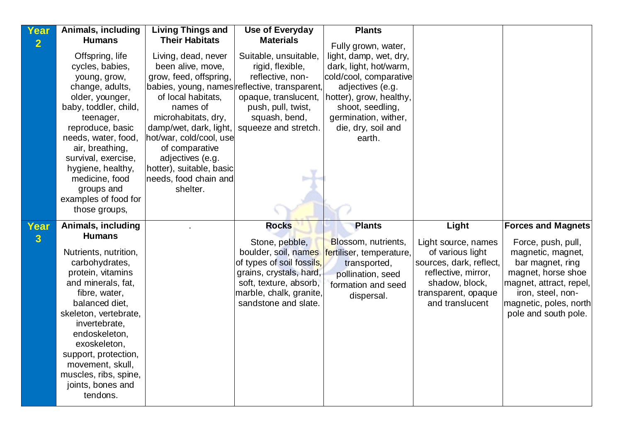| rear                    | Animals, including                  | <b>Living Things and</b>                      | <b>Use of Everyday</b>    | <b>Plants</b>                                 |                         |                           |
|-------------------------|-------------------------------------|-----------------------------------------------|---------------------------|-----------------------------------------------|-------------------------|---------------------------|
| $\overline{\mathbf{2}}$ | <b>Humans</b>                       | <b>Their Habitats</b>                         | <b>Materials</b>          |                                               |                         |                           |
|                         | Offspring, life                     | Living, dead, never                           | Suitable, unsuitable,     | Fully grown, water,<br>light, damp, wet, dry, |                         |                           |
|                         | cycles, babies,                     | been alive, move,                             | rigid, flexible,          | dark, light, hot/warm,                        |                         |                           |
|                         | young, grow,                        | grow, feed, offspring,                        | reflective, non-          | cold/cool, comparative                        |                         |                           |
|                         | change, adults,                     | babies, young, names reflective, transparent, |                           | adjectives (e.g.                              |                         |                           |
|                         | older, younger,                     | of local habitats,                            | opaque, translucent,      | hotter), grow, healthy,                       |                         |                           |
|                         | baby, toddler, child,               | names of                                      | push, pull, twist,        | shoot, seedling,                              |                         |                           |
|                         | teenager,                           | microhabitats, dry,                           | squash, bend,             | germination, wither,                          |                         |                           |
|                         | reproduce, basic                    | damp/wet, dark, light,                        | squeeze and stretch.      | die, dry, soil and                            |                         |                           |
|                         | needs, water, food,                 | hot/war, cold/cool, use                       |                           | earth.                                        |                         |                           |
|                         | air, breathing,                     | of comparative                                |                           |                                               |                         |                           |
|                         | survival, exercise,                 | adjectives (e.g.                              |                           |                                               |                         |                           |
|                         | hygiene, healthy,                   | hotter), suitable, basic                      |                           |                                               |                         |                           |
|                         | medicine, food                      | needs, food chain and                         |                           |                                               |                         |                           |
|                         | groups and                          | shelter.                                      |                           |                                               |                         |                           |
|                         | examples of food for                |                                               |                           |                                               |                         |                           |
|                         | those groups,                       |                                               |                           |                                               |                         |                           |
|                         |                                     |                                               |                           | <b>Plants</b>                                 |                         |                           |
| Year                    | Animals, including<br><b>Humans</b> |                                               | <b>Rocks</b>              |                                               | Light                   | <b>Forces and Magnets</b> |
| $3\phantom{a}$          |                                     |                                               | Stone, pebble,            | Blossom, nutrients,                           | Light source, names     | Force, push, pull,        |
|                         | Nutrients, nutrition,               |                                               | boulder, soil, names      | fertiliser, temperature,                      | of various light        | magnetic, magnet,         |
|                         | carbohydrates,                      |                                               | of types of soil fossils, | transported,                                  | sources, dark, reflect, | bar magnet, ring          |
|                         | protein, vitamins                   |                                               | grains, crystals, hard,   | pollination, seed                             | reflective, mirror,     | magnet, horse shoe        |
|                         | and minerals, fat,                  |                                               | soft, texture, absorb,    | formation and seed                            | shadow, block,          | magnet, attract, repel,   |
|                         | fibre, water,                       |                                               | marble, chalk, granite,   | dispersal.                                    | transparent, opaque     | iron, steel, non-         |
|                         | balanced diet,                      |                                               | sandstone and slate.      |                                               | and translucent         | magnetic, poles, north    |
|                         | skeleton, vertebrate,               |                                               |                           |                                               |                         | pole and south pole.      |
|                         | invertebrate,                       |                                               |                           |                                               |                         |                           |
|                         | endoskeleton,                       |                                               |                           |                                               |                         |                           |
|                         |                                     |                                               |                           |                                               |                         |                           |
|                         | exoskeleton,                        |                                               |                           |                                               |                         |                           |
|                         | support, protection,                |                                               |                           |                                               |                         |                           |
|                         | movement, skull,                    |                                               |                           |                                               |                         |                           |
|                         | muscles, ribs, spine,               |                                               |                           |                                               |                         |                           |
|                         | joints, bones and<br>tendons.       |                                               |                           |                                               |                         |                           |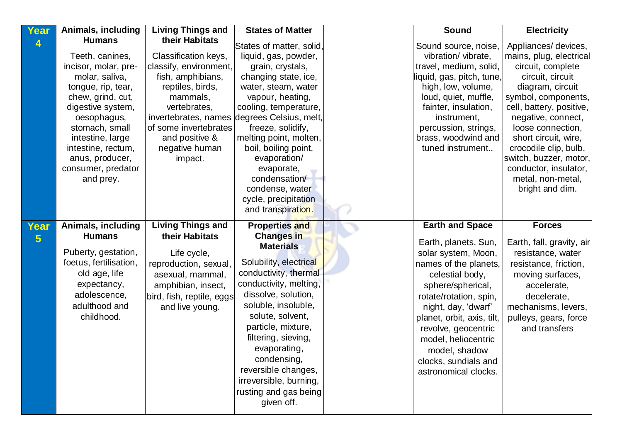| Year | Animals, including                      | <b>Living Things and</b>                       | <b>States of Matter</b>                  | <b>Sound</b>                                | <b>Electricity</b>                              |
|------|-----------------------------------------|------------------------------------------------|------------------------------------------|---------------------------------------------|-------------------------------------------------|
|      | <b>Humans</b>                           | their Habitats                                 |                                          |                                             |                                                 |
|      |                                         |                                                | States of matter, solid,                 | Sound source, noise,<br>vibration/ vibrate, | Appliances/ devices,<br>mains, plug, electrical |
|      | Teeth, canines,<br>incisor, molar, pre- | Classification keys,<br>classify, environment, | liquid, gas, powder,<br>grain, crystals, | travel, medium, solid,                      | circuit, complete                               |
|      | molar, saliva,                          | fish, amphibians,                              | changing state, ice,                     | liquid, gas, pitch, tune,                   | circuit, circuit                                |
|      | tongue, rip, tear,                      | reptiles, birds,                               | water, steam, water                      | high, low, volume,                          | diagram, circuit                                |
|      | chew, grind, cut,                       | mammals,                                       | vapour, heating,                         | loud, quiet, muffle,                        | symbol, components,                             |
|      | digestive system,                       | vertebrates,                                   | cooling, temperature,                    | fainter, insulation,                        | cell, battery, positive,                        |
|      | oesophagus,                             | invertebrates, names                           | degrees Celsius, melt,                   | instrument,                                 | negative, connect,                              |
|      | stomach, small                          | of some invertebrates                          | freeze, solidify,                        | percussion, strings,                        | loose connection.                               |
|      | intestine, large                        | and positive &                                 | melting point, molten,                   | brass, woodwind and                         | short circuit, wire,                            |
|      | intestine, rectum,                      | negative human                                 | boil, boiling point,                     | tuned instrument                            | crocodile clip, bulb,                           |
|      | anus, producer,                         | impact.                                        | evaporation/                             |                                             | switch, buzzer, motor,                          |
|      | consumer, predator                      |                                                | evaporate,                               |                                             | conductor, insulator,                           |
|      | and prey.                               |                                                | condensation/                            |                                             | metal, non-metal,                               |
|      |                                         |                                                | condense, water                          |                                             | bright and dim.                                 |
|      |                                         |                                                | cycle, precipitation                     |                                             |                                                 |
|      |                                         |                                                | and transpiration.                       |                                             |                                                 |
|      |                                         |                                                |                                          |                                             |                                                 |
|      |                                         |                                                |                                          |                                             |                                                 |
| Year | Animals, including                      | <b>Living Things and</b>                       | <b>Properties and</b>                    | <b>Earth and Space</b>                      | <b>Forces</b>                                   |
| 5    | <b>Humans</b>                           | their Habitats                                 | <b>Changes in</b>                        | Earth, planets, Sun,                        | Earth, fall, gravity, air                       |
|      | Puberty, gestation,                     | Life cycle,                                    | <b>Materials</b>                         | solar system, Moon,                         | resistance, water                               |
|      | foetus, fertilisation,                  | reproduction, sexual,                          | Solubility, electrical                   | names of the planets,                       | resistance, friction,                           |
|      | old age, life                           | asexual, mammal,                               | conductivity, thermal                    | celestial body,                             | moving surfaces,                                |
|      | expectancy,                             | amphibian, insect,                             | conductivity, melting,                   | sphere/spherical,                           | accelerate,                                     |
|      | adolescence,                            | bird, fish, reptile, eggs                      | dissolve, solution,                      | rotate/rotation, spin,                      | decelerate,                                     |
|      | adulthood and                           | and live young.                                | soluble, insoluble,                      | night, day, 'dwarf'                         | mechanisms, levers,                             |
|      | childhood.                              |                                                | solute, solvent,                         | planet, orbit, axis, tilt,                  | pulleys, gears, force                           |
|      |                                         |                                                | particle, mixture,                       | revolve, geocentric                         | and transfers                                   |
|      |                                         |                                                | filtering, sieving,                      | model, heliocentric                         |                                                 |
|      |                                         |                                                | evaporating,                             | model, shadow                               |                                                 |
|      |                                         |                                                | condensing,                              | clocks, sundials and                        |                                                 |
|      |                                         |                                                | reversible changes,                      | astronomical clocks.                        |                                                 |
|      |                                         |                                                | irreversible, burning,                   |                                             |                                                 |
|      |                                         |                                                | rusting and gas being                    |                                             |                                                 |
|      |                                         |                                                | given off.                               |                                             |                                                 |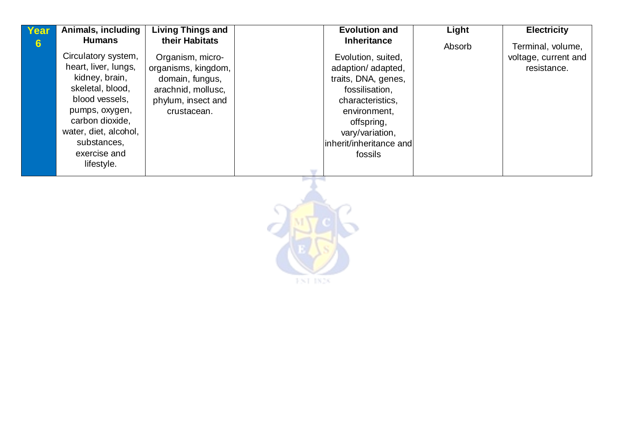| Year   | Animals, including    | <b>Living Things and</b> | <b>Evolution and</b>     | Light  | <b>Electricity</b>   |
|--------|-----------------------|--------------------------|--------------------------|--------|----------------------|
| $6 \,$ | <b>Humans</b>         | their Habitats           | <b>Inheritance</b>       | Absorb | Terminal, volume,    |
|        | Circulatory system,   | Organism, micro-         | Evolution, suited,       |        | voltage, current and |
|        | heart, liver, lungs,  | organisms, kingdom,      | adaption/adapted,        |        | resistance.          |
|        | kidney, brain,        | domain, fungus,          | traits, DNA, genes,      |        |                      |
|        | skeletal, blood,      | arachnid, mollusc,       | fossilisation,           |        |                      |
|        | blood vessels,        | phylum, insect and       | characteristics,         |        |                      |
|        | pumps, oxygen,        | crustacean.              | environment,             |        |                      |
|        | carbon dioxide,       |                          | offspring,               |        |                      |
|        | water, diet, alcohol, |                          | vary/variation,          |        |                      |
|        | substances,           |                          | linherit/inheritance and |        |                      |
|        | exercise and          |                          | fossils                  |        |                      |
|        | lifestyle.            |                          |                          |        |                      |
|        |                       |                          |                          |        |                      |

FST 1828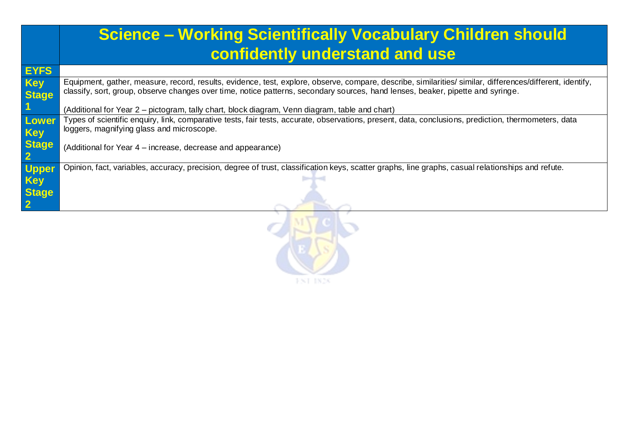|                                         | <b>Science - Working Scientifically Vocabulary Children should</b><br>confidently understand and use                                                                                                                                                                                         |  |  |  |  |
|-----------------------------------------|----------------------------------------------------------------------------------------------------------------------------------------------------------------------------------------------------------------------------------------------------------------------------------------------|--|--|--|--|
| <b>EYFS</b>                             |                                                                                                                                                                                                                                                                                              |  |  |  |  |
| <b>Key</b><br><b>Stage</b>              | Equipment, gather, measure, record, results, evidence, test, explore, observe, compare, describe, similarities/ similar, differences/different, identify,<br>classify, sort, group, observe changes over time, notice patterns, secondary sources, hand lenses, beaker, pipette and syringe. |  |  |  |  |
|                                         | (Additional for Year 2 – pictogram, tally chart, block diagram, Venn diagram, table and chart)                                                                                                                                                                                               |  |  |  |  |
| <b>Lower</b><br><b>Key</b>              | Types of scientific enquiry, link, comparative tests, fair tests, accurate, observations, present, data, conclusions, prediction, thermometers, data<br>loggers, magnifying glass and microscope.                                                                                            |  |  |  |  |
| <b>Stage</b><br>$\overline{\mathbf{2}}$ | (Additional for Year 4 – increase, decrease and appearance)                                                                                                                                                                                                                                  |  |  |  |  |
| <b>Upper</b>                            | Opinion, fact, variables, accuracy, precision, degree of trust, classification keys, scatter graphs, line graphs, casual relationships and refute.                                                                                                                                           |  |  |  |  |
| <b>Key</b>                              |                                                                                                                                                                                                                                                                                              |  |  |  |  |
| <b>Stage</b><br>$\mathbf{2}$            |                                                                                                                                                                                                                                                                                              |  |  |  |  |
|                                         | FST 1828                                                                                                                                                                                                                                                                                     |  |  |  |  |